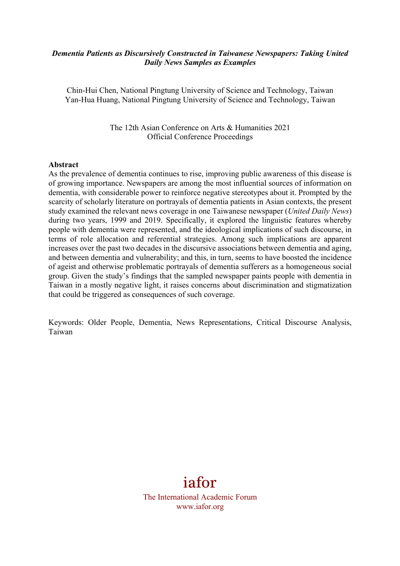#### *Dementia Patients as Discursively Constructed in Taiwanese Newspapers: Taking United Daily News Samples as Examples*

Chin-Hui Chen, National Pingtung University of Science and Technology, Taiwan Yan-Hua Huang, National Pingtung University of Science and Technology, Taiwan

> The 12th Asian Conference on Arts & Humanities 2021 Official Conference Proceedings

#### **Abstract**

As the prevalence of dementia continues to rise, improving public awareness of this disease is of growing importance. Newspapers are among the most influential sources of information on dementia, with considerable power to reinforce negative stereotypes about it. Prompted by the scarcity of scholarly literature on portrayals of dementia patients in Asian contexts, the present study examined the relevant news coverage in one Taiwanese newspaper (*United Daily News*) during two years, 1999 and 2019. Specifically, it explored the linguistic features whereby people with dementia were represented, and the ideological implications of such discourse, in terms of role allocation and referential strategies. Among such implications are apparent increases over the past two decades in the discursive associations between dementia and aging, and between dementia and vulnerability; and this, in turn, seems to have boosted the incidence of ageist and otherwise problematic portrayals of dementia sufferers as a homogeneous social group. Given the study's findings that the sampled newspaper paints people with dementia in Taiwan in a mostly negative light, it raises concerns about discrimination and stigmatization that could be triggered as consequences of such coverage.

Keywords: Older People, Dementia, News Representations, Critical Discourse Analysis, Taiwan

# iafor

The International Academic Forum www.iafor.org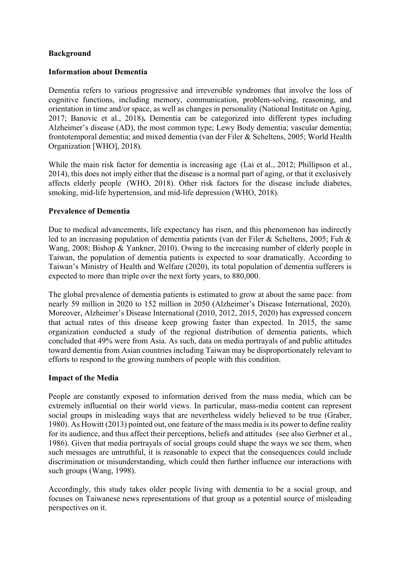## **Background**

#### **Information about Dementia**

Dementia refers to various progressive and irreversible syndromes that involve the loss of cognitive functions, including memory, communication, problem-solving, reasoning, and orientation in time and/or space, as well as changes in personality (National Institute on Aging, 2017; Banovic et al., 2018)**.** Dementia can be categorized into different types including Alzheimer's disease (AD), the most common type; Lewy Body dementia; vascular dementia; frontotemporal dementia; and mixed dementia (van der Filer & Scheltens, 2005; World Health Organization [WHO], 2018).

While the main risk factor for dementia is increasing age (Lai et al., 2012; Phillipson et al., 2014), this does not imply either that the disease is a normal part of aging, or that it exclusively affects elderly people (WHO, 2018). Other risk factors for the disease include diabetes, smoking, mid-life hypertension, and mid-life depression (WHO, 2018).

#### **Prevalence of Dementia**

Due to medical advancements, life expectancy has risen, and this phenomenon has indirectly led to an increasing population of dementia patients (van der Filer & Scheltens, 2005; Fuh & Wang, 2008; Bishop & Yankner, 2010). Owing to the increasing number of elderly people in Taiwan, the population of dementia patients is expected to soar dramatically. According to Taiwan's Ministry of Health and Welfare (2020), its total population of dementia sufferers is expected to more than triple over the next forty years, to 880,000.

The global prevalence of dementia patients is estimated to grow at about the same pace: from nearly 59 million in 2020 to 152 million in 2050 (Alzheimer's Disease International, 2020). Moreover, Alzheimer's Disease International (2010, 2012, 2015, 2020) has expressed concern that actual rates of this disease keep growing faster than expected. In 2015, the same organization conducted a study of the regional distribution of dementia patients, which concluded that 49% were from Asia. As such, data on media portrayals of and public attitudes toward dementia from Asian countries including Taiwan may be disproportionately relevant to efforts to respond to the growing numbers of people with this condition.

#### **Impact of the Media**

People are constantly exposed to information derived from the mass media, which can be extremely influential on their world views. In particular, mass-media content can represent social groups in misleading ways that are nevertheless widely believed to be true (Graber, 1980). As Howitt (2013) pointed out, one feature of the mass media is its power to define reality for its audience, and thus affect their perceptions, beliefs and attitudes (see also Gerbner et al., 1986). Given that media portrayals of social groups could shape the ways we see them, when such messages are untruthful, it is reasonable to expect that the consequences could include discrimination or misunderstanding, which could then further influence our interactions with such groups (Wang, 1998).

Accordingly, this study takes older people living with dementia to be a social group, and focuses on Taiwanese news representations of that group as a potential source of misleading perspectives on it.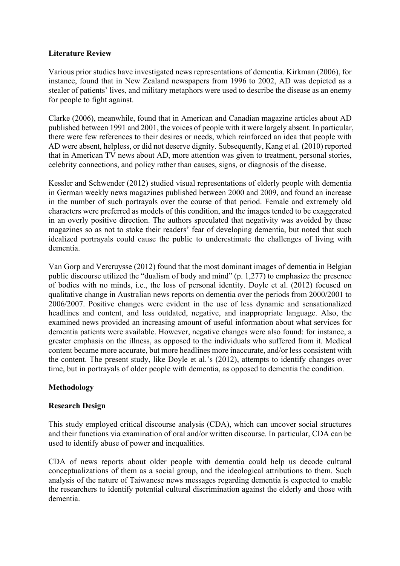## **Literature Review**

Various prior studies have investigated news representations of dementia. Kirkman (2006), for instance, found that in New Zealand newspapers from 1996 to 2002, AD was depicted as a stealer of patients' lives, and military metaphors were used to describe the disease as an enemy for people to fight against.

Clarke (2006), meanwhile, found that in American and Canadian magazine articles about AD published between 1991 and 2001, the voices of people with it were largely absent. In particular, there were few references to their desires or needs, which reinforced an idea that people with AD were absent, helpless, or did not deserve dignity. Subsequently, Kang et al. (2010) reported that in American TV news about AD, more attention was given to treatment, personal stories, celebrity connections, and policy rather than causes, signs, or diagnosis of the disease.

Kessler and Schwender (2012) studied visual representations of elderly people with dementia in German weekly news magazines published between 2000 and 2009, and found an increase in the number of such portrayals over the course of that period. Female and extremely old characters were preferred as models of this condition, and the images tended to be exaggerated in an overly positive direction. The authors speculated that negativity was avoided by these magazines so as not to stoke their readers' fear of developing dementia, but noted that such idealized portrayals could cause the public to underestimate the challenges of living with dementia.

Van Gorp and Vercruysse (2012) found that the most dominant images of dementia in Belgian public discourse utilized the "dualism of body and mind" (p. 1,277) to emphasize the presence of bodies with no minds, i.e., the loss of personal identity. Doyle et al. (2012) focused on qualitative change in Australian news reports on dementia over the periods from 2000/2001 to 2006/2007. Positive changes were evident in the use of less dynamic and sensationalized headlines and content, and less outdated, negative, and inappropriate language. Also, the examined news provided an increasing amount of useful information about what services for dementia patients were available. However, negative changes were also found: for instance, a greater emphasis on the illness, as opposed to the individuals who suffered from it. Medical content became more accurate, but more headlines more inaccurate, and/or less consistent with the content. The present study, like Doyle et al.'s (2012), attempts to identify changes over time, but in portrayals of older people with dementia, as opposed to dementia the condition.

## **Methodology**

## **Research Design**

This study employed critical discourse analysis (CDA), which can uncover social structures and their functions via examination of oral and/or written discourse. In particular, CDA can be used to identify abuse of power and inequalities.

CDA of news reports about older people with dementia could help us decode cultural conceptualizations of them as a social group, and the ideological attributions to them. Such analysis of the nature of Taiwanese news messages regarding dementia is expected to enable the researchers to identify potential cultural discrimination against the elderly and those with dementia.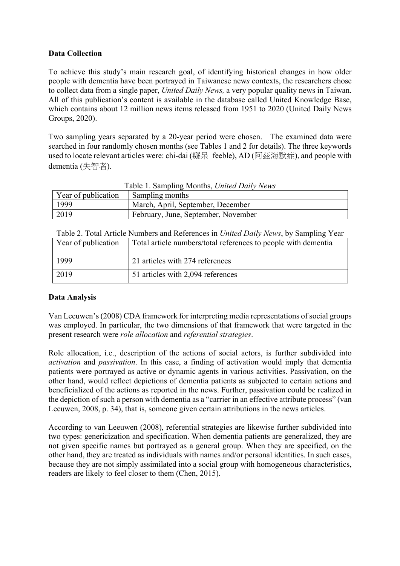## **Data Collection**

To achieve this study's main research goal, of identifying historical changes in how older people with dementia have been portrayed in Taiwanese new*s* contexts, the researchers chose to collect data from a single paper, *United Daily News,* a very popular quality news in Taiwan. All of this publication's content is available in the database called United Knowledge Base, which contains about 12 million news items released from 1951 to 2020 (United Daily News Groups, 2020).

Two sampling years separated by a 20-year period were chosen. The examined data were searched in four randomly chosen months (see Tables 1 and 2 for details). The three keywords used to locate relevant articles were: chi-dai (癡呆 feeble), AD (阿茲海默症), and people with dementia (失智者).

| Table 1. Sampling Months, United Daily News |                 |  |  |  |
|---------------------------------------------|-----------------|--|--|--|
| Year of publication                         | Sampling months |  |  |  |
| March, April, September, December<br>1999   |                 |  |  |  |
| 2019<br>February, June, September, November |                 |  |  |  |

|  | Table 2. Total Article Numbers and References in <i>United Daily News</i> , by Sampling Year |  |  |  |  |  |
|--|----------------------------------------------------------------------------------------------|--|--|--|--|--|
|  |                                                                                              |  |  |  |  |  |

| Year of publication | Total article numbers/total references to people with dementia |
|---------------------|----------------------------------------------------------------|
| 1999                | 21 articles with 274 references                                |
| 2019                | 51 articles with 2,094 references                              |

## **Data Analysis**

Van Leeuwen's (2008) CDA framework for interpreting media representations of social groups was employed. In particular, the two dimensions of that framework that were targeted in the present research were *role allocation* and *referential strategies*.

Role allocation, i.e., description of the actions of social actors, is further subdivided into *activation* and *passivation*. In this case, a finding of activation would imply that dementia patients were portrayed as active or dynamic agents in various activities. Passivation, on the other hand, would reflect depictions of dementia patients as subjected to certain actions and beneficialized of the actions as reported in the news. Further, passivation could be realized in the depiction of such a person with dementia as a "carrier in an effective attribute process" (van Leeuwen, 2008, p. 34), that is, someone given certain attributions in the news articles.

According to van Leeuwen (2008), referential strategies are likewise further subdivided into two types: genericization and specification. When dementia patients are generalized, they are not given specific names but portrayed as a general group. When they are specified, on the other hand, they are treated as individuals with names and/or personal identities. In such cases, because they are not simply assimilated into a social group with homogeneous characteristics, readers are likely to feel closer to them (Chen, 2015).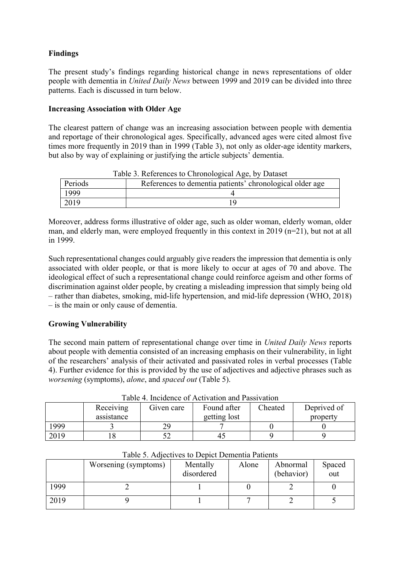## **Findings**

The present study's findings regarding historical change in news representations of older people with dementia in *United Daily News* between 1999 and 2019 can be divided into three patterns. Each is discussed in turn below.

## **Increasing Association with Older Age**

The clearest pattern of change was an increasing association between people with dementia and reportage of their chronological ages. Specifically, advanced ages were cited almost five times more frequently in 2019 than in 1999 (Table 3), not only as older-age identity markers, but also by way of explaining or justifying the article subjects' dementia.

| Table 3. References to Chronological Age, by Dataset |                                                          |  |  |  |
|------------------------------------------------------|----------------------------------------------------------|--|--|--|
| Periods                                              | References to dementia patients' chronological older age |  |  |  |
| 1999                                                 |                                                          |  |  |  |
| 2019                                                 | 1 Q                                                      |  |  |  |

Moreover, address forms illustrative of older age, such as older woman, elderly woman, older man, and elderly man, were employed frequently in this context in 2019 (n=21), but not at all in 1999.

Such representational changes could arguably give readers the impression that dementia is only associated with older people, or that is more likely to occur at ages of 70 and above. The ideological effect of such a representational change could reinforce ageism and other forms of discrimination against older people, by creating a misleading impression that simply being old – rather than diabetes, smoking, mid-life hypertension, and mid-life depression (WHO, 2018) – is the main or only cause of dementia.

## **Growing Vulnerability**

The second main pattern of representational change over time in *United Daily News* reports about people with dementia consisted of an increasing emphasis on their vulnerability, in light of the researchers' analysis of their activated and passivated roles in verbal processes (Table 4). Further evidence for this is provided by the use of adjectives and adjective phrases such as *worsening* (symptoms), *alone*, and *spaced out* (Table 5).

| Table 4. Incidence of Activation and Passivation |            |            |              |         |             |
|--------------------------------------------------|------------|------------|--------------|---------|-------------|
|                                                  | Receiving  | Given care | Found after  | Cheated | Deprived of |
|                                                  | assistance |            | getting lost |         | property    |
| 1999                                             |            | 79         |              |         |             |
| 2019                                             |            |            | 42           |         |             |

 $T_{\text{eff}}$  4. Insidence of Activation and Passivation

| $1.0010$ c, $1.0010$ can be $100$ to $1000$ for $1000$ for $1000$ for $1000$ |                      |                        |       |                        |               |  |
|------------------------------------------------------------------------------|----------------------|------------------------|-------|------------------------|---------------|--|
|                                                                              | Worsening (symptoms) | Mentally<br>disordered | Alone | Abnormal<br>(behavior) | Spaced<br>out |  |
| 1999                                                                         |                      |                        |       |                        |               |  |
| 2019                                                                         |                      |                        |       |                        |               |  |

Table 5. Adjectives to Depict Dementia Patients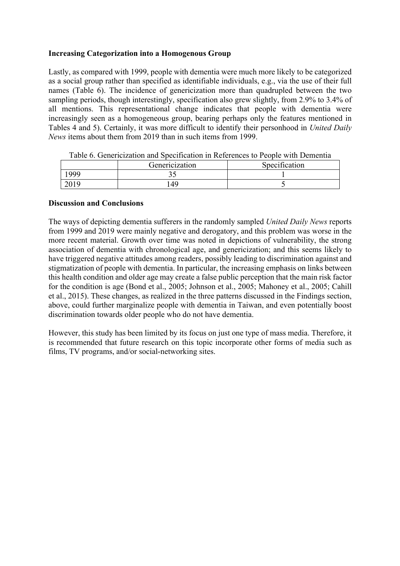## **Increasing Categorization into a Homogenous Group**

Lastly, as compared with 1999, people with dementia were much more likely to be categorized as a social group rather than specified as identifiable individuals, e.g., via the use of their full names (Table 6). The incidence of genericization more than quadrupled between the two sampling periods, though interestingly, specification also grew slightly, from 2.9% to 3.4% of all mentions. This representational change indicates that people with dementia were increasingly seen as a homogeneous group, bearing perhaps only the features mentioned in Tables 4 and 5). Certainly, it was more difficult to identify their personhood in *United Daily News* items about them from 2019 than in such items from 1999.

|      | Genericization | Specification |
|------|----------------|---------------|
| 999  | ت ب            |               |
| 2019 | .49            |               |

Table 6. Genericization and Specification in References to People with Dementia

#### **Discussion and Conclusions**

The ways of depicting dementia sufferers in the randomly sampled *United Daily News* reports from 1999 and 2019 were mainly negative and derogatory, and this problem was worse in the more recent material. Growth over time was noted in depictions of vulnerability, the strong association of dementia with chronological age, and genericization; and this seems likely to have triggered negative attitudes among readers, possibly leading to discrimination against and stigmatization of people with dementia. In particular, the increasing emphasis on links between this health condition and older age may create a false public perception that the main risk factor for the condition is age (Bond et al., 2005; Johnson et al., 2005; Mahoney et al., 2005; Cahill et al., 2015). These changes, as realized in the three patterns discussed in the Findings section, above, could further marginalize people with dementia in Taiwan, and even potentially boost discrimination towards older people who do not have dementia.

However, this study has been limited by its focus on just one type of mass media. Therefore, it is recommended that future research on this topic incorporate other forms of media such as films, TV programs, and/or social-networking sites.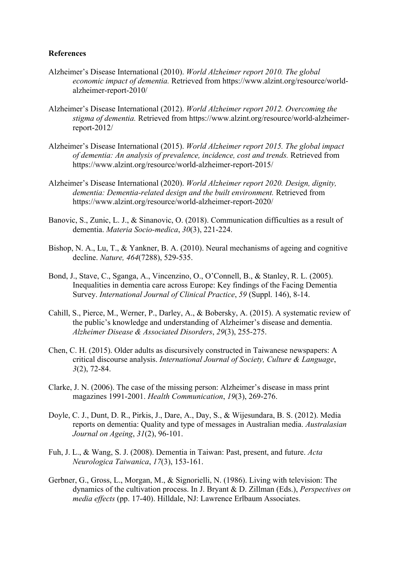#### **References**

- Alzheimer's Disease International (2010). *World Alzheimer report 2010. The global economic impact of dementia.* Retrieved from https://www.alzint.org/resource/worldalzheimer-report-2010/
- Alzheimer's Disease International (2012). *World Alzheimer report 2012. Overcoming the stigma of dementia.* Retrieved from https://www.alzint.org/resource/world-alzheimerreport-2012/
- Alzheimer's Disease International (2015). *World Alzheimer report 2015. The global impact of dementia: An analysis of prevalence, incidence, cost and trends.* Retrieved from https://www.alzint.org/resource/world-alzheimer-report-2015/
- Alzheimer's Disease International (2020). *World Alzheimer report 2020. Design, dignity, dementia: Dementia-related design and the built environment.* Retrieved from https://www.alzint.org/resource/world-alzheimer-report-2020/
- Banovic, S., Zunic, L. J., & Sinanovic, O. (2018). Communication difficulties as a result of dementia. *Materia Socio-medica*, *30*(3), 221-224.
- Bishop, N. A., Lu, T., & Yankner, B. A. (2010). Neural mechanisms of ageing and cognitive decline. *Nature, 464*(7288), 529-535.
- Bond, J., Stave, C., Sganga, A., Vincenzino, O., O'Connell, B., & Stanley, R. L. (2005). Inequalities in dementia care across Europe: Key findings of the Facing Dementia Survey. *International Journal of Clinical Practice*, *59* (Suppl. 146), 8-14.
- Cahill, S., Pierce, M., Werner, P., Darley, A., & Bobersky, A. (2015). A systematic review of the public's knowledge and understanding of Alzheimer's disease and dementia. *Alzheimer Disease & Associated Disorders*, *29*(3), 255-275.
- Chen, C. H. (2015). Older adults as discursively constructed in Taiwanese newspapers: A critical discourse analysis. *International Journal of Society, Culture & Language*, *3*(2), 72-84.
- Clarke, J. N. (2006). The case of the missing person: Alzheimer's disease in mass print magazines 1991-2001. *Health Communication*, *19*(3), 269-276.
- Doyle, C. J., Dunt, D. R., Pirkis, J., Dare, A., Day, S., & Wijesundara, B. S. (2012). Media reports on dementia: Quality and type of messages in Australian media. *Australasian Journal on Ageing*, *31*(2), 96-101.
- Fuh, J. L., & Wang, S. J. (2008). Dementia in Taiwan: Past, present, and future. *Acta Neurologica Taiwanica*, *17*(3), 153-161.
- Gerbner, G., Gross, L., Morgan, M., & Signorielli, N. (1986). Living with television: The dynamics of the cultivation process. In J. Bryant & D. Zillman (Eds.), *Perspectives on media effects* (pp. 17-40). Hilldale, NJ: Lawrence Erlbaum Associates.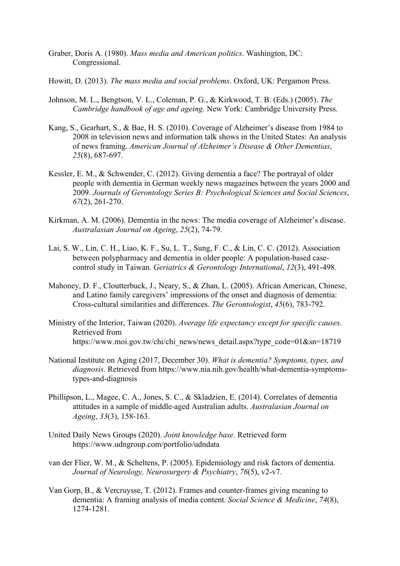- Graber, Doris A. (1980). *Mass media and American politics*. Washington, DC: Congressional.
- Howitt, D. (2013). *The mass media and social problems*. Oxford, UK: Pergamon Press.
- Johnson, M. L., Bengtson, V. L., Coleman, P. G., & Kirkwood, T. B. (Eds.) (2005). *The Cambridge handbook of age and ageing.* New York: Cambridge University Press.
- Kang, S., Gearhart, S., & Bae, H. S. (2010). Coverage of Alzheimer's disease from 1984 to 2008 in television news and information talk shows in the United States: An analysis of news framing. *American Journal of Alzheimer's Disease & Other Dementias*, *25*(8), 687-697.
- Kessler, E. M., & Schwender, C. (2012). Giving dementia a face? The portrayal of older people with dementia in German weekly news magazines between the years 2000 and 2009. *Journals of Gerontology Series B: Psychological Sciences and Social Sciences*, *67*(2), 261-270.
- Kirkman, A. M. (2006). Dementia in the news: The media coverage of Alzheimer's disease. *Australasian Journal on Ageing*, *25*(2), 74-79.
- Lai, S. W., Lin, C. H., Liao, K. F., Su, L. T., Sung, F. C., & Lin, C. C. (2012). Association between polypharmacy and dementia in older people: A population-based casecontrol study in Taiwan. *Geriatrics & Gerontology International*, *12*(3), 491-498.
- Mahoney, D. F., Cloutterbuck, J., Neary, S., & Zhan, L. (2005). African American, Chinese, and Latino family caregivers' impressions of the onset and diagnosis of dementia: Cross-cultural similarities and differences. *The Gerontologist*, *45*(6), 783-792.
- Ministry of the Interior, Taiwan (2020). *Average life expectancy except for specific causes.*  Retrieved from https://www.moi.gov.tw/chi/chi\_news/news\_detail.aspx?type\_code=01&sn=18719
- National Institute on Aging (2017, December 30). *What is dementia? Symptoms, types, and diagnosis.* Retrieved from https://www.nia.nih.gov/health/what-dementia-symptomstypes-and-diagnosis
- Phillipson, L., Magee, C. A., Jones, S. C., & Skladzien, E. (2014). Correlates of dementia attitudes in a sample of middle-aged Australian adults. *Australasian Journal on Ageing*, *33*(3), 158-163.
- United Daily News Groups (2020). *Joint knowledge base.* Retrieved form https://www.udngroup.com/portfolio/udndata
- van der Flier, W. M., & Scheltens, P. (2005). Epidemiology and risk factors of dementia. *Journal of Neurology, Neurosurgery & Psychiatry*, *76*(5), v2-v7.
- Van Gorp, B., & Vercruysse, T. (2012). Frames and counter-frames giving meaning to dementia: A framing analysis of media content. *Social Science & Medicine*, *74*(8), 1274-1281.